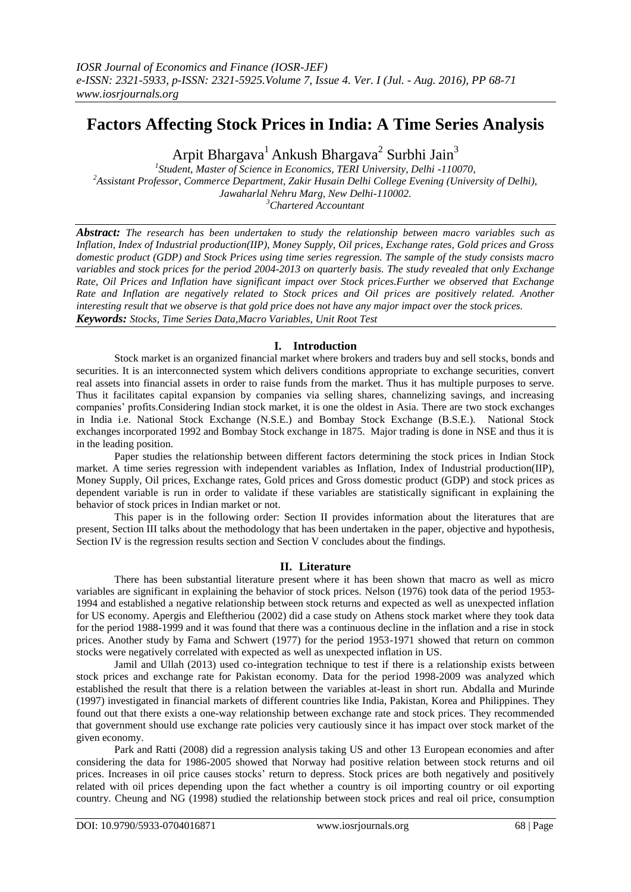# **Factors Affecting Stock Prices in India: A Time Series Analysis**

Arpit Bhargava<sup>1</sup> Ankush Bhargava<sup>2</sup> Surbhi Jain<sup>3</sup>

 *Student, Master of Science in Economics, TERI University, Delhi -110070*, *Assistant Professor, Commerce Department, Zakir Husain Delhi College Evening (University of Delhi), Jawaharlal Nehru Marg, New Delhi-110002. Chartered Accountant*

*Abstract: The research has been undertaken to study the relationship between macro variables such as Inflation, Index of Industrial production(IIP), Money Supply, Oil prices, Exchange rates, Gold prices and Gross domestic product (GDP) and Stock Prices using time series regression. The sample of the study consists macro variables and stock prices for the period 2004-2013 on quarterly basis. The study revealed that only Exchange Rate, Oil Prices and Inflation have significant impact over Stock prices.Further we observed that Exchange Rate and Inflation are negatively related to Stock prices and Oil prices are positively related. Another interesting result that we observe is that gold price does not have any major impact over the stock prices. Keywords: Stocks, Time Series Data,Macro Variables, Unit Root Test*

## **I. Introduction**

Stock market is an organized financial market where brokers and traders buy and sell stocks, bonds and securities. It is an interconnected system which delivers conditions appropriate to exchange securities, convert real assets into financial assets in order to raise funds from the market. Thus it has multiple purposes to serve. Thus it facilitates capital expansion by companies via selling shares, channelizing savings, and increasing companies' profits.Considering Indian stock market, it is one the oldest in Asia. There are two stock exchanges in India i.e. National Stock Exchange (N.S.E.) and Bombay Stock Exchange (B.S.E.). National Stock exchanges incorporated 1992 and Bombay Stock exchange in 1875. Major trading is done in NSE and thus it is in the leading position.

Paper studies the relationship between different factors determining the stock prices in Indian Stock market. A time series regression with independent variables as Inflation, Index of Industrial production(IIP), Money Supply, Oil prices, Exchange rates, Gold prices and Gross domestic product (GDP) and stock prices as dependent variable is run in order to validate if these variables are statistically significant in explaining the behavior of stock prices in Indian market or not.

This paper is in the following order: Section II provides information about the literatures that are present, Section III talks about the methodology that has been undertaken in the paper, objective and hypothesis, Section IV is the regression results section and Section V concludes about the findings.

## **II. Literature**

There has been substantial literature present where it has been shown that macro as well as micro variables are significant in explaining the behavior of stock prices. Nelson (1976) took data of the period 1953- 1994 and established a negative relationship between stock returns and expected as well as unexpected inflation for US economy. Apergis and Eleftheriou (2002) did a case study on Athens stock market where they took data for the period 1988-1999 and it was found that there was a continuous decline in the inflation and a rise in stock prices. Another study by Fama and Schwert (1977) for the period 1953-1971 showed that return on common stocks were negatively correlated with expected as well as unexpected inflation in US.

Jamil and Ullah (2013) used co-integration technique to test if there is a relationship exists between stock prices and exchange rate for Pakistan economy. Data for the period 1998-2009 was analyzed which established the result that there is a relation between the variables at-least in short run. Abdalla and Murinde (1997) investigated in financial markets of different countries like India, Pakistan, Korea and Philippines. They found out that there exists a one-way relationship between exchange rate and stock prices. They recommended that government should use exchange rate policies very cautiously since it has impact over stock market of the given economy.

Park and Ratti (2008) did a regression analysis taking US and other 13 European economies and after considering the data for 1986-2005 showed that Norway had positive relation between stock returns and oil prices. Increases in oil price causes stocks' return to depress. Stock prices are both negatively and positively related with oil prices depending upon the fact whether a country is oil importing country or oil exporting country. Cheung and NG (1998) studied the relationship between stock prices and real oil price, consumption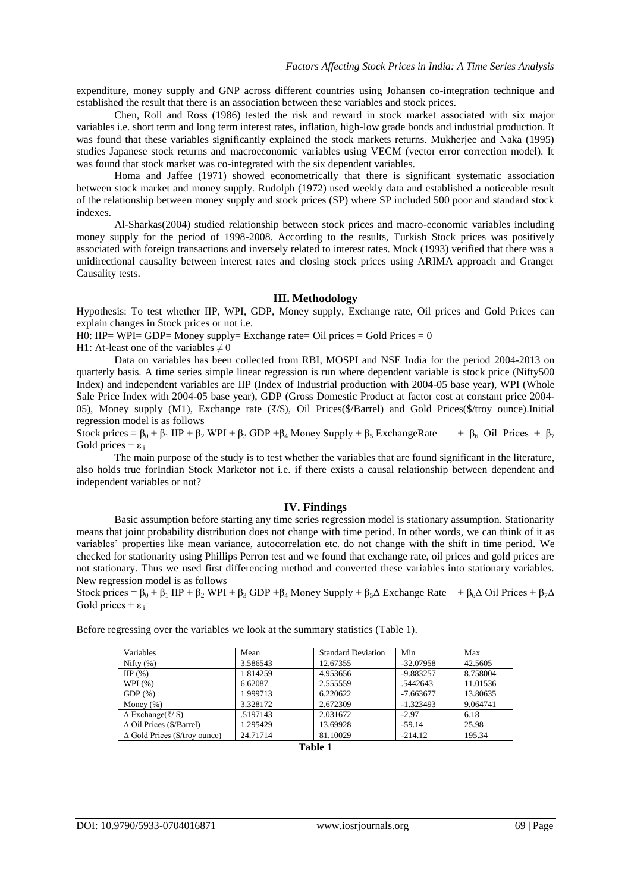expenditure, money supply and GNP across different countries using Johansen co-integration technique and established the result that there is an association between these variables and stock prices.

Chen, Roll and Ross (1986) tested the risk and reward in stock market associated with six major variables i.e. short term and long term interest rates, inflation, high-low grade bonds and industrial production. It was found that these variables significantly explained the stock markets returns. Mukherjee and Naka (1995) studies Japanese stock returns and macroeconomic variables using VECM (vector error correction model). It was found that stock market was co-integrated with the six dependent variables.

Homa and Jaffee (1971) showed econometrically that there is significant systematic association between stock market and money supply. Rudolph (1972) used weekly data and established a noticeable result of the relationship between money supply and stock prices (SP) where SP included 500 poor and standard stock indexes.

Al-Sharkas(2004) studied relationship between stock prices and macro-economic variables including money supply for the period of 1998-2008. According to the results, Turkish Stock prices was positively associated with foreign transactions and inversely related to interest rates. Mock (1993) verified that there was a unidirectional causality between interest rates and closing stock prices using ARIMA approach and Granger Causality tests.

### **III. Methodology**

Hypothesis: To test whether IIP, WPI, GDP, Money supply, Exchange rate, Oil prices and Gold Prices can explain changes in Stock prices or not i.e.

 $H0: IIP= WPI= GDP= Money$  supply= Exchange rate= Oil prices = Gold Prices = 0

H1: At-least one of the variables  $\neq 0$ 

Data on variables has been collected from RBI, MOSPI and NSE India for the period 2004-2013 on quarterly basis. A time series simple linear regression is run where dependent variable is stock price (Nifty500 Index) and independent variables are IIP (Index of Industrial production with 2004-05 base year), WPI (Whole Sale Price Index with 2004-05 base year), GDP (Gross Domestic Product at factor cost at constant price 2004- 05), Money supply (M1), Exchange rate (₹/\$), Oil Prices(\$/Barrel) and Gold Prices(\$/troy ounce).Initial regression model is as follows

Stock prices =  $\beta_0 + \beta_1$  IIP +  $\beta_2$  WPI +  $\beta_3$  GDP +  $\beta_4$  Money Supply +  $\beta_5$  ExchangeRate +  $\beta_6$  Oil Prices +  $\beta_7$ Gold prices +  $\varepsilon_i$ 

The main purpose of the study is to test whether the variables that are found significant in the literature, also holds true forIndian Stock Marketor not i.e. if there exists a causal relationship between dependent and independent variables or not?

### **IV. Findings**

Basic assumption before starting any time series regression model is stationary assumption. Stationarity means that joint probability distribution does not change with time period. In other words, we can think of it as variables' properties like mean variance, autocorrelation etc. do not change with the shift in time period. We checked for stationarity using Phillips Perron test and we found that exchange rate, oil prices and gold prices are not stationary. Thus we used first differencing method and converted these variables into stationary variables. New regression model is as follows

Stock prices =  $\beta_0 + \beta_1$  IIP +  $\beta_2$  WPI +  $\beta_3$  GDP +  $\beta_4$  Money Supply +  $\beta_5\Delta$  Exchange Rate  $\beta_6\Delta$  Oil Prices +  $\beta_7\Delta$ Gold prices +  $\varepsilon_i$ 

Before regressing over the variables we look at the summary statistics (Table 1).

| Variables                                   | Mean     | <b>Standard Deviation</b> | Min         | Max      |  |  |
|---------------------------------------------|----------|---------------------------|-------------|----------|--|--|
| Nifty $(\% )$                               | 3.586543 | 12.67355                  | $-32.07958$ | 42.5605  |  |  |
| HP(%)                                       | 1.814259 | 4.953656                  | $-9.883257$ | 8.758004 |  |  |
| WPI $(%)$                                   | 6.62087  | 2.555559                  | .5442643    | 11.01536 |  |  |
| GDP(%)                                      | 1.999713 | 6.220622                  | $-7.663677$ | 13.80635 |  |  |
| Money $(\%)$                                | 3.328172 | 2.672309                  | $-1.323493$ | 9.064741 |  |  |
| $\Delta$ Exchange( $\overline{\xi}$ / $\$ ) | .5197143 | 2.031672                  | $-2.97$     | 6.18     |  |  |
| $\triangle$ Oil Prices (\$/Barrel)          | 1.295429 | 13.69928                  | $-59.14$    | 25.98    |  |  |
| $\Delta$ Gold Prices (\$/troy ounce)        | 24.71714 | 81.10029                  | $-214.12$   | 195.34   |  |  |
|                                             |          |                           |             |          |  |  |

**Table 1**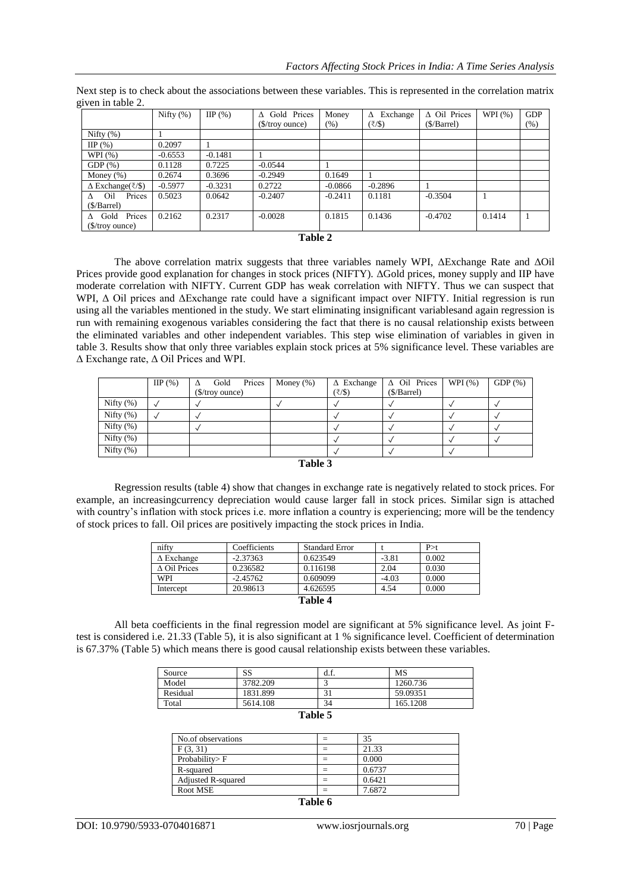|                                                       | Nifty $(\%)$ | HP(%)     | Gold Prices<br>$\Lambda$ | Money     | Exchange<br>Δ | $\triangle$ Oil Prices | WPI $(%)$ | <b>GDP</b> |
|-------------------------------------------------------|--------------|-----------|--------------------------|-----------|---------------|------------------------|-----------|------------|
|                                                       |              |           | (\$/troy ounce)          | $(\% )$   | $(/$ \$)      | (S/Barrel)             |           | (% )       |
| Nifty $(\% )$                                         |              |           |                          |           |               |                        |           |            |
| HP(%)                                                 | 0.2097       |           |                          |           |               |                        |           |            |
| WPI $(% )$                                            | $-0.6553$    | $-0.1481$ |                          |           |               |                        |           |            |
| $GDP(\%)$                                             | 0.1128       | 0.7225    | $-0.0544$                |           |               |                        |           |            |
| Money $(\%)$                                          | 0.2674       | 0.3696    | $-0.2949$                | 0.1649    |               |                        |           |            |
| $\Delta$ Exchange( $\overline{\zeta}/\overline{\S}$ ) | $-0.5977$    | $-0.3231$ | 0.2722                   | $-0.0866$ | $-0.2896$     |                        |           |            |
| Prices<br>Oil<br>$\Lambda$                            | 0.5023       | 0.0642    | $-0.2407$                | $-0.2411$ | 0.1181        | $-0.3504$              |           |            |
| (S/Barrel)                                            |              |           |                          |           |               |                        |           |            |
| Gold Prices<br>$\Lambda$                              | 0.2162       | 0.2317    | $-0.0028$                | 0.1815    | 0.1436        | $-0.4702$              | 0.1414    |            |
| $($$ /troy ounce)                                     |              |           |                          |           |               |                        |           |            |

Next step is to check about the associations between these variables. This is represented in the correlation matrix given in table 2.

#### **Table 2**

The above correlation matrix suggests that three variables namely WPI, ΔExchange Rate and ΔOil Prices provide good explanation for changes in stock prices (NIFTY). ΔGold prices, money supply and IIP have moderate correlation with NIFTY. Current GDP has weak correlation with NIFTY. Thus we can suspect that WPI, Δ Oil prices and ΔExchange rate could have a significant impact over NIFTY. Initial regression is run using all the variables mentioned in the study. We start eliminating insignificant variablesand again regression is run with remaining exogenous variables considering the fact that there is no causal relationship exists between the eliminated variables and other independent variables. This step wise elimination of variables in given in table 3. Results show that only three variables explain stock prices at 5% significance level. These variables are Δ Exchange rate, Δ Oil Prices and WPI.

|               | HP(%) | Gold<br>Λ        | Prices | Money $(\% )$ | $\triangle$ Exchange | $\triangle$ Oil Prices | WPI $(%)$ | $GDP(\%)$ |
|---------------|-------|------------------|--------|---------------|----------------------|------------------------|-----------|-----------|
|               |       | $($/troy$ ounce) |        |               | (₹/\$)               | (S/Barrel)             |           |           |
| Nifty $(\%)$  |       |                  |        |               |                      |                        |           |           |
| Nifty $(\%)$  |       |                  |        |               |                      |                        |           |           |
| Nifty $(\%)$  |       |                  |        |               |                      |                        |           |           |
| Nifty $(\%)$  |       |                  |        |               |                      |                        |           |           |
| Nifty $(\% )$ |       |                  |        |               |                      |                        |           |           |
| Table 3       |       |                  |        |               |                      |                        |           |           |

Regression results (table 4) show that changes in exchange rate is negatively related to stock prices. For example, an increasingcurrency depreciation would cause larger fall in stock prices. Similar sign is attached with country's inflation with stock prices i.e. more inflation a country is experiencing; more will be the tendency of stock prices to fall. Oil prices are positively impacting the stock prices in India.

| nifty               | Coefficients | <b>Standard Error</b> |         | P > t |  |
|---------------------|--------------|-----------------------|---------|-------|--|
| $\Delta$ Exchange   | $-2.37363$   | 0.623549              | $-3.81$ | 0.002 |  |
| $\wedge$ Oil Prices | 0.236582     | 0.116198              | 2.04    | 0.030 |  |
| WPI                 | $-2.45762$   | 0.609099              | $-4.03$ | 0.000 |  |
| Intercept           | 20.98613     | 4.626595              | 4.54    | 0.000 |  |
| Table 4             |              |                       |         |       |  |

All beta coefficients in the final regression model are significant at 5% significance level. As joint Ftest is considered i.e. 21.33 (Table 5), it is also significant at 1 % significance level. Coefficient of determination is 67.37% (Table 5) which means there is good causal relationship exists between these variables.

| Source   | SS       | -d.f. | MS       |
|----------|----------|-------|----------|
| Model    | 3782.209 |       | 1260.736 |
| Residual | 1831.899 |       | 59.09351 |
| Total    | 5614.108 | 34    | 165.1208 |

## **Table 5**

| No.of observations        |   | 35     |
|---------------------------|---|--------|
| F(3, 31)                  |   | 21.33  |
| Probability>F             |   | 0.000  |
| R-squared                 |   | 0.6737 |
| <b>Adjusted R-squared</b> |   | 0.6421 |
| Root MSE                  |   | 7.6872 |
| $-$<br>__                 | - |        |